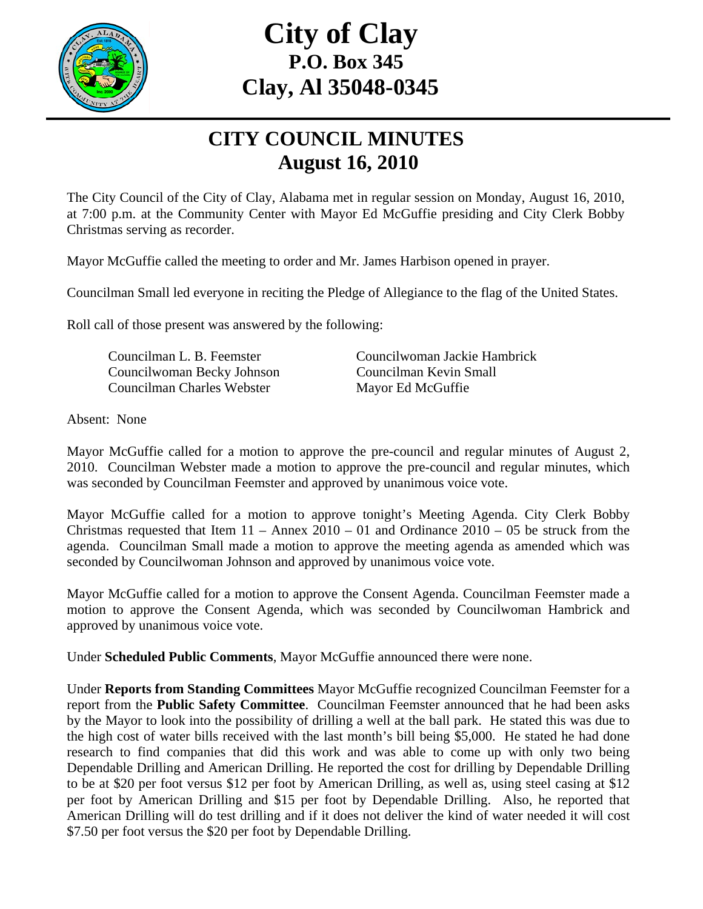

## **City of Clay P.O. Box 345 Clay, Al 35048-0345**

## **CITY COUNCIL MINUTES August 16, 2010**

The City Council of the City of Clay, Alabama met in regular session on Monday, August 16, 2010, at 7:00 p.m. at the Community Center with Mayor Ed McGuffie presiding and City Clerk Bobby Christmas serving as recorder.

Mayor McGuffie called the meeting to order and Mr. James Harbison opened in prayer.

Councilman Small led everyone in reciting the Pledge of Allegiance to the flag of the United States.

Roll call of those present was answered by the following:

 Councilwoman Becky Johnson Councilman Kevin Small Councilman Charles Webster Mayor Ed McGuffie

Councilman L. B. Feemster Councilwoman Jackie Hambrick

Absent: None

Mayor McGuffie called for a motion to approve the pre-council and regular minutes of August 2, 2010. Councilman Webster made a motion to approve the pre-council and regular minutes, which was seconded by Councilman Feemster and approved by unanimous voice vote.

Mayor McGuffie called for a motion to approve tonight's Meeting Agenda. City Clerk Bobby Christmas requested that Item  $11 -$  Annex  $2010 - 01$  and Ordinance  $2010 - 05$  be struck from the agenda. Councilman Small made a motion to approve the meeting agenda as amended which was seconded by Councilwoman Johnson and approved by unanimous voice vote.

Mayor McGuffie called for a motion to approve the Consent Agenda. Councilman Feemster made a motion to approve the Consent Agenda, which was seconded by Councilwoman Hambrick and approved by unanimous voice vote.

Under **Scheduled Public Comments**, Mayor McGuffie announced there were none.

Under **Reports from Standing Committees** Mayor McGuffie recognized Councilman Feemster for a report from the **Public Safety Committee**. Councilman Feemster announced that he had been asks by the Mayor to look into the possibility of drilling a well at the ball park. He stated this was due to the high cost of water bills received with the last month's bill being \$5,000. He stated he had done research to find companies that did this work and was able to come up with only two being Dependable Drilling and American Drilling. He reported the cost for drilling by Dependable Drilling to be at \$20 per foot versus \$12 per foot by American Drilling, as well as, using steel casing at \$12 per foot by American Drilling and \$15 per foot by Dependable Drilling. Also, he reported that American Drilling will do test drilling and if it does not deliver the kind of water needed it will cost \$7.50 per foot versus the \$20 per foot by Dependable Drilling.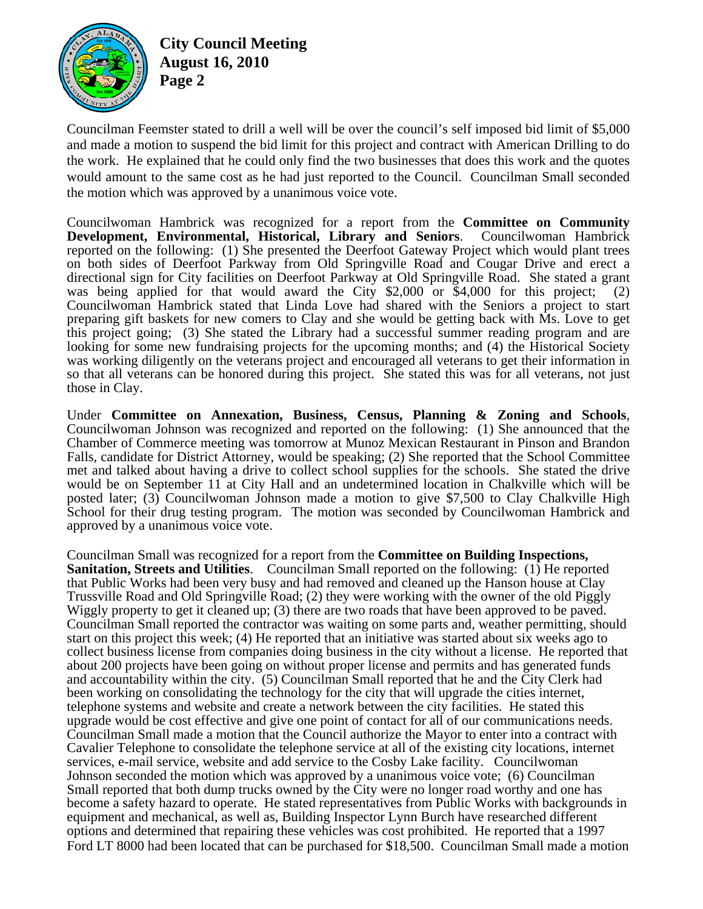

**City Council Meeting August 16, 2010 Page 2** 

Councilman Feemster stated to drill a well will be over the council's self imposed bid limit of \$5,000 and made a motion to suspend the bid limit for this project and contract with American Drilling to do the work. He explained that he could only find the two businesses that does this work and the quotes would amount to the same cost as he had just reported to the Council. Councilman Small seconded the motion which was approved by a unanimous voice vote.

Councilwoman Hambrick was recognized for a report from the **Committee on Community Development, Environmental, Historical, Library and Seniors**. Councilwoman Hambrick reported on the following: (1) She presented the Deerfoot Gateway Project which would plant trees on both sides of Deerfoot Parkway from Old Springville Road and Cougar Drive and erect a directional sign for City facilities on Deerfoot Parkway at Old Springville Road. She stated a grant was being applied for that would award the City  $$2,000$  or  $$4,000$  for this project; (2) Councilwoman Hambrick stated that Linda Love had shared with the Seniors a project to start preparing gift baskets for new comers to Clay and she would be getting back with Ms. Love to get this project going; (3) She stated the Library had a successful summer reading program and are looking for some new fundraising projects for the upcoming months; and (4) the Historical Society was working diligently on the veterans project and encouraged all veterans to get their information in so that all veterans can be honored during this project. She stated this was for all veterans, not just those in Clay.

Under **Committee on Annexation, Business, Census, Planning & Zoning and Schools**, Councilwoman Johnson was recognized and reported on the following: (1) She announced that the Chamber of Commerce meeting was tomorrow at Munoz Mexican Restaurant in Pinson and Brandon Falls, candidate for District Attorney, would be speaking; (2) She reported that the School Committee met and talked about having a drive to collect school supplies for the schools. She stated the drive would be on September 11 at City Hall and an undetermined location in Chalkville which will be posted later; (3) Councilwoman Johnson made a motion to give \$7,500 to Clay Chalkville High School for their drug testing program. The motion was seconded by Councilwoman Hambrick and approved by a unanimous voice vote.

Councilman Small was recognized for a report from the **Committee on Building Inspections, Sanitation, Streets and Utilities**. Councilman Small reported on the following: (1) He reported that Public Works had been very busy and had removed and cleaned up the Hanson house at Clay Trussville Road and Old Springville Road; (2) they were working with the owner of the old Piggly Wiggly property to get it cleaned up; (3) there are two roads that have been approved to be paved. Councilman Small reported the contractor was waiting on some parts and, weather permitting, should start on this project this week; (4) He reported that an initiative was started about six weeks ago to collect business license from companies doing business in the city without a license. He reported that about 200 projects have been going on without proper license and permits and has generated funds and accountability within the city. (5) Councilman Small reported that he and the City Clerk had been working on consolidating the technology for the city that will upgrade the cities internet, telephone systems and website and create a network between the city facilities. He stated this upgrade would be cost effective and give one point of contact for all of our communications needs. Councilman Small made a motion that the Council authorize the Mayor to enter into a contract with Cavalier Telephone to consolidate the telephone service at all of the existing city locations, internet services, e-mail service, website and add service to the Cosby Lake facility. Councilwoman Johnson seconded the motion which was approved by a unanimous voice vote; (6) Councilman Small reported that both dump trucks owned by the City were no longer road worthy and one has become a safety hazard to operate. He stated representatives from Public Works with backgrounds in equipment and mechanical, as well as, Building Inspector Lynn Burch have researched different options and determined that repairing these vehicles was cost prohibited. He reported that a 1997 Ford LT 8000 had been located that can be purchased for \$18,500. Councilman Small made a motion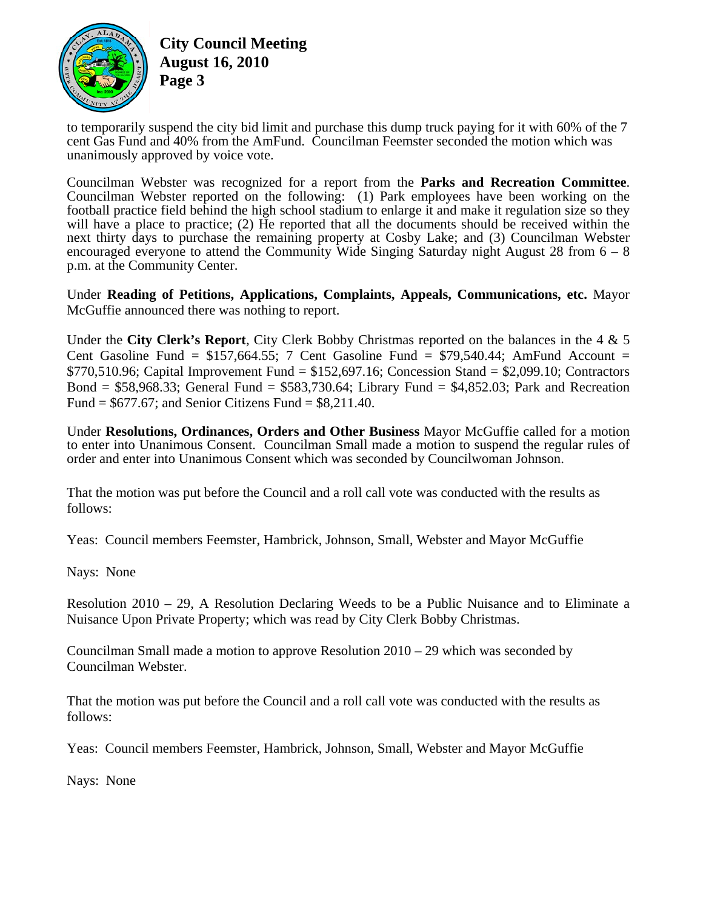

**City Council Meeting August 16, 2010 Page 3** 

to temporarily suspend the city bid limit and purchase this dump truck paying for it with 60% of the 7 cent Gas Fund and 40% from the AmFund. Councilman Feemster seconded the motion which was unanimously approved by voice vote.

Councilman Webster was recognized for a report from the **Parks and Recreation Committee**. Councilman Webster reported on the following: (1) Park employees have been working on the football practice field behind the high school stadium to enlarge it and make it regulation size so they will have a place to practice: (2) He reported that all the documents should be received within the next thirty days to purchase the remaining property at Cosby Lake; and (3) Councilman Webster encouraged everyone to attend the Community Wide Singing Saturday night August 28 from  $6 - 8$ p.m. at the Community Center.

Under **Reading of Petitions, Applications, Complaints, Appeals, Communications, etc.** Mayor McGuffie announced there was nothing to report.

Under the **City Clerk's Report**, City Clerk Bobby Christmas reported on the balances in the 4 & 5 Cent Gasoline Fund =  $$157,664.55$ ; 7 Cent Gasoline Fund =  $$79,540.44$ ; AmFund Account =  $$770,510.96$ ; Capital Improvement Fund =  $$152,697.16$ ; Concession Stand =  $$2,099.10$ ; Contractors Bond =  $$58,968.33$ ; General Fund =  $$583,730.64$ ; Library Fund =  $$4,852.03$ ; Park and Recreation Fund =  $$677.67$ ; and Senior Citizens Fund =  $$8,211.40$ .

Under **Resolutions, Ordinances, Orders and Other Business** Mayor McGuffie called for a motion to enter into Unanimous Consent. Councilman Small made a motion to suspend the regular rules of order and enter into Unanimous Consent which was seconded by Councilwoman Johnson.

That the motion was put before the Council and a roll call vote was conducted with the results as follows:

Yeas: Council members Feemster, Hambrick, Johnson, Small, Webster and Mayor McGuffie

Nays: None

Resolution 2010 – 29, A Resolution Declaring Weeds to be a Public Nuisance and to Eliminate a Nuisance Upon Private Property; which was read by City Clerk Bobby Christmas.

Councilman Small made a motion to approve Resolution  $2010 - 29$  which was seconded by Councilman Webster.

That the motion was put before the Council and a roll call vote was conducted with the results as follows:

Yeas: Council members Feemster, Hambrick, Johnson, Small, Webster and Mayor McGuffie

Nays: None